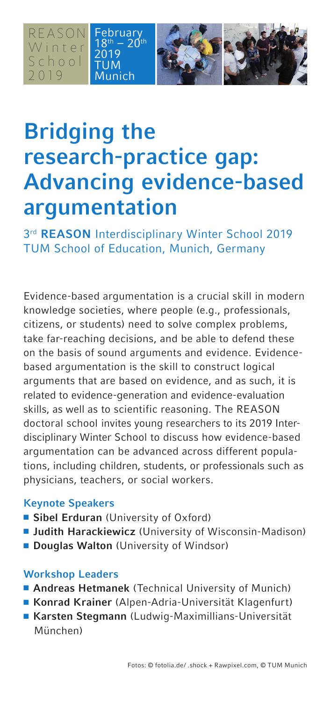REASON Winter S c h o o l 2019

2019 TUM nich



## **Bridging the research-practice gap: Advancing evidence-based argumentation**

3rd **REASON** Interdisciplinary Winter School 2019 TUM School of Education, Munich, Germany

Evidence-based argumentation is a crucial skill in modern knowledge societies, where people (e.g., professionals, citizens, or students) need to solve complex problems, take far-reaching decisions, and be able to defend these on the basis of sound arguments and evidence. Evidencebased argumentation is the skill to construct logical arguments that are based on evidence, and as such, it is related to evidence-generation and evidence-evaluation skills, as well as to scientific reasoning. The REASON doctoral school invites young researchers to its 2019 Interdisciplinary Winter School to discuss how evidence-based argumentation can be advanced across different populations, including children, students, or professionals such as physicians, teachers, or social workers.

## **Keynote Speakers**

- **Sibel Erduran** (University of Oxford)
- **Judith Harackiewicz** (University of Wisconsin-Madison)
- **Douglas Walton** (University of Windsor)

## **Workshop Leaders**

- **Andreas Hetmanek** (Technical University of Munich)
- Konrad Krainer (Alpen-Adria-Universität Klagenfurt)
- <sup>n</sup>**Karsten Stegmann** (Ludwig-Maximillians-Universität München)